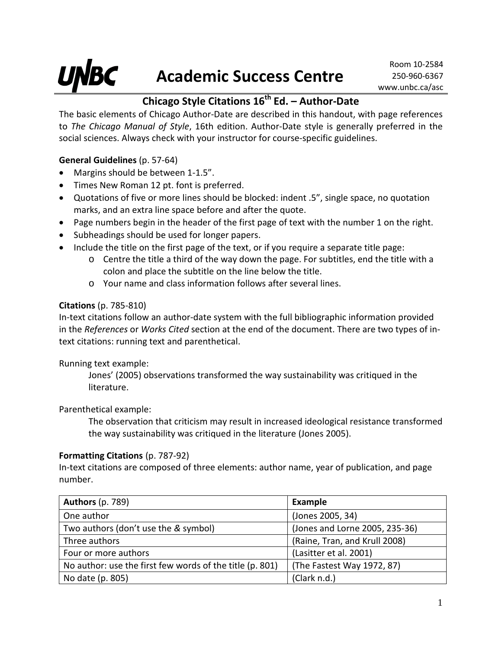# **Chicago Style Citations 16th Ed. – Author-Date**

The basic elements of Chicago Author-Date are described in this handout, with page references to *The Chicago Manual of Style*, 16th edition. Author-Date style is generally preferred in the social sciences. Always check with your instructor for course-specific guidelines.

## **General Guidelines** (p. 57-64)

- Margins should be between 1-1.5".
- Times New Roman 12 pt. font is preferred.
- Quotations of five or more lines should be blocked: indent .5", single space, no quotation marks, and an extra line space before and after the quote.
- Page numbers begin in the header of the first page of text with the number 1 on the right.
- Subheadings should be used for longer papers.
- Include the title on the first page of the text, or if you require a separate title page:
	- o Centre the title a third of the way down the page. For subtitles, end the title with a colon and place the subtitle on the line below the title.
	- o Your name and class information follows after several lines.

#### **Citations** (p. 785-810)

In-text citations follow an author-date system with the full bibliographic information provided in the *References* or *Works Cited* section at the end of the document. There are two types of intext citations: running text and parenthetical.

Running text example:

Jones' (2005) observations transformed the way sustainability was critiqued in the literature.

Parenthetical example:

The observation that criticism may result in increased ideological resistance transformed the way sustainability was critiqued in the literature (Jones 2005).

### **Formatting Citations** (p. 787-92)

In-text citations are composed of three elements: author name, year of publication, and page number.

| <b>Authors (p. 789)</b>                                  | <b>Example</b>                 |
|----------------------------------------------------------|--------------------------------|
| One author                                               | (Jones 2005, 34)               |
| Two authors (don't use the & symbol)                     | (Jones and Lorne 2005, 235-36) |
| Three authors                                            | (Raine, Tran, and Krull 2008)  |
| Four or more authors                                     | (Lasitter et al. 2001)         |
| No author: use the first few words of the title (p. 801) | (The Fastest Way 1972, 87)     |
| No date (p. 805)                                         | (Clark n.d.)                   |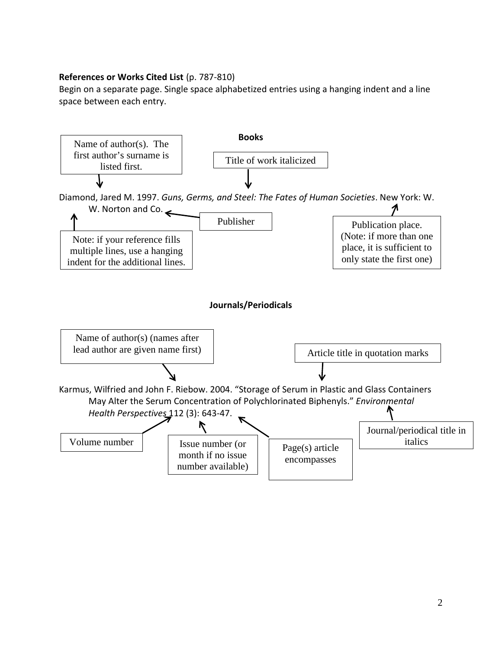#### **References or Works Cited List** (p. 787-810)

Begin on a separate page. Single space alphabetized entries using a hanging indent and a line space between each entry.

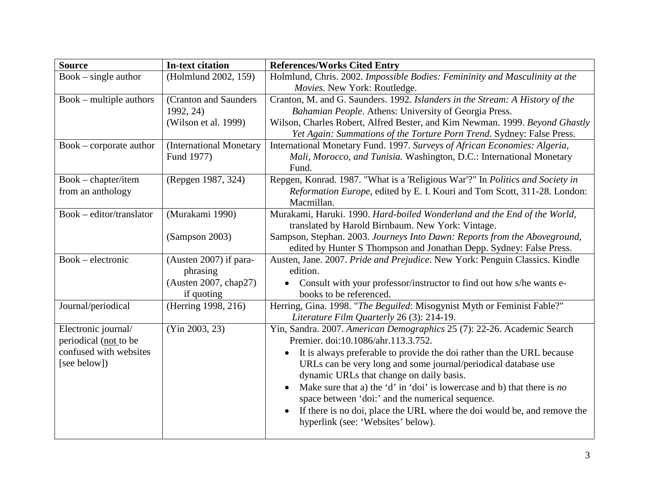| <b>Source</b>                                   | <b>In-text citation</b> | <b>References/Works Cited Entry</b>                                                                            |
|-------------------------------------------------|-------------------------|----------------------------------------------------------------------------------------------------------------|
| $Book - single author$                          | (Holmlund 2002, 159)    | Holmlund, Chris. 2002. Impossible Bodies: Femininity and Masculinity at the                                    |
|                                                 |                         | Movies. New York: Routledge.                                                                                   |
| Book – multiple authors                         | (Cranton and Saunders   | Cranton, M. and G. Saunders. 1992. Islanders in the Stream: A History of the                                   |
|                                                 | 1992, 24)               | Bahamian People. Athens: University of Georgia Press.                                                          |
|                                                 | (Wilson et al. 1999)    | Wilson, Charles Robert, Alfred Bester, and Kim Newman. 1999. Beyond Ghastly                                    |
|                                                 |                         | Yet Again: Summations of the Torture Porn Trend. Sydney: False Press.                                          |
| $Book - corporate author$                       | (International Monetary | International Monetary Fund. 1997. Surveys of African Economies: Algeria,                                      |
|                                                 | Fund 1977)              | Mali, Morocco, and Tunisia. Washington, D.C.: International Monetary                                           |
|                                                 |                         | Fund.                                                                                                          |
| Book – chapter/item                             | (Repgen 1987, 324)      | Repgen, Konrad. 1987. "What is a 'Religious War'?" In Politics and Society in                                  |
| from an anthology                               |                         | Reformation Europe, edited by E. I. Kouri and Tom Scott, 311-28. London:                                       |
|                                                 |                         | Macmillan.                                                                                                     |
| $\overline{\text{Book}}$ – editor/translator    | (Murakami 1990)         | Murakami, Haruki. 1990. Hard-boiled Wonderland and the End of the World,                                       |
|                                                 |                         | translated by Harold Birnbaum. New York: Vintage.                                                              |
|                                                 | (Sampson 2003)          | Sampson, Stephan. 2003. Journeys Into Dawn: Reports from the Aboveground,                                      |
|                                                 |                         | edited by Hunter S Thompson and Jonathan Depp. Sydney: False Press.                                            |
| Book – electronic                               | (Austen 2007) if para-  | Austen, Jane. 2007. Pride and Prejudice. New York: Penguin Classics. Kindle                                    |
|                                                 | phrasing                | edition.                                                                                                       |
|                                                 | (Austen 2007, chap27)   | Consult with your professor/instructor to find out how s/he wants e-                                           |
|                                                 | if quoting              | books to be referenced.                                                                                        |
| Journal/periodical                              | (Herring 1998, 216)     | Herring, Gina. 1998. "The Beguiled: Misogynist Myth or Feminist Fable?"                                        |
|                                                 |                         | Literature Film Quarterly 26 (3): 214-19.                                                                      |
| Electronic journal/                             | (Yin 2003, 23)          | Yin, Sandra. 2007. American Demographics 25 (7): 22-26. Academic Search<br>Premier. doi:10.1086/ahr.113.3.752. |
| periodical (not to be<br>confused with websites |                         |                                                                                                                |
|                                                 |                         | It is always preferable to provide the doi rather than the URL because                                         |
| [see below])                                    |                         | URLs can be very long and some journal/periodical database use                                                 |
|                                                 |                         | dynamic URLs that change on daily basis.                                                                       |
|                                                 |                         | Make sure that a) the 'd' in 'doi' is lowercase and b) that there is no                                        |
|                                                 |                         | space between 'doi:' and the numerical sequence.                                                               |
|                                                 |                         | If there is no doi, place the URL where the doi would be, and remove the                                       |
|                                                 |                         | hyperlink (see: 'Websites' below).                                                                             |
|                                                 |                         |                                                                                                                |